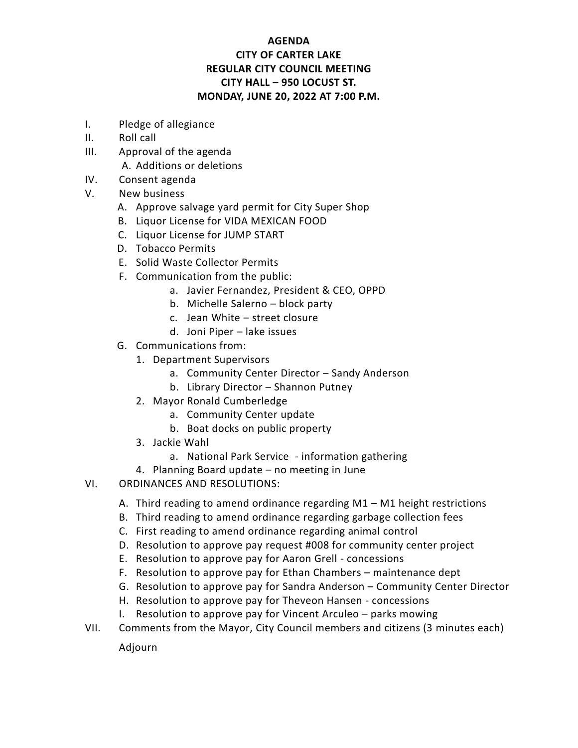## **AGENDA CITY OF CARTER LAKE REGULAR CITY COUNCIL MEETING CITY HALL – 950 LOCUST ST. MONDAY, JUNE 20, 2022 AT 7:00 P.M.**

- I. Pledge of allegiance
- II. Roll call
- III. Approval of the agenda A. Additions or deletions
- IV. Consent agenda
- V. New business
	- A. Approve salvage yard permit for City Super Shop
	- B. Liquor License for VIDA MEXICAN FOOD
	- C. Liquor License for JUMP START
	- D. Tobacco Permits
	- E. Solid Waste Collector Permits
	- F. Communication from the public:
		- a. Javier Fernandez, President & CEO, OPPD
		- b. Michelle Salerno block party
		- c. Jean White street closure
		- d. Joni Piper lake issues
	- G. Communications from:
		- 1. Department Supervisors
			- a. Community Center Director Sandy Anderson
			- b. Library Director Shannon Putney
		- 2. Mayor Ronald Cumberledge
			- a. Community Center update
			- b. Boat docks on public property
		- 3. Jackie Wahl
			- a. National Park Service information gathering
		- 4. Planning Board update no meeting in June
- VI. ORDINANCES AND RESOLUTIONS:
	- A. Third reading to amend ordinance regarding M1 M1 height restrictions
	- B. Third reading to amend ordinance regarding garbage collection fees
	- C. First reading to amend ordinance regarding animal control
	- D. Resolution to approve pay request #008 for community center project
	- E. Resolution to approve pay for Aaron Grell concessions
	- F. Resolution to approve pay for Ethan Chambers maintenance dept
	- G. Resolution to approve pay for Sandra Anderson Community Center Director
	- H. Resolution to approve pay for Theveon Hansen concessions
	- I. Resolution to approve pay for Vincent Arculeo parks mowing
- VII. Comments from the Mayor, City Council members and citizens (3 minutes each)

Adjourn